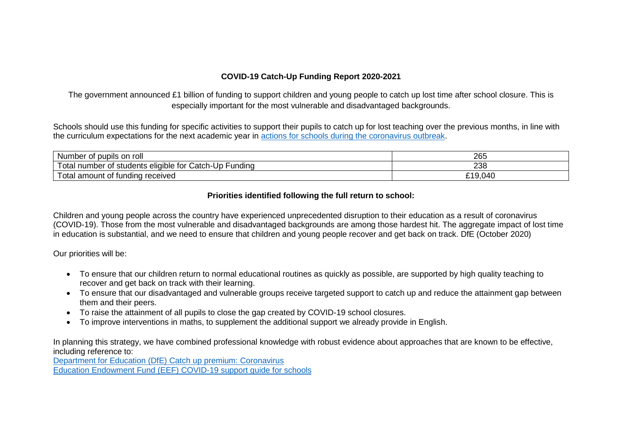## **COVID-19 Catch-Up Funding Report 2020-2021**

The government announced £1 billion of funding to support children and young people to catch up lost time after school closure. This is especially important for the most vulnerable and disadvantaged backgrounds.

Schools should use this funding for specific activities to support their pupils to catch up for lost teaching over the previous months, in line with the curriculum expectations for the next academic year in [actions for schools during the coronavirus outbreak.](https://www.gov.uk/government/publications/actions-for-schools-during-the-coronavirus-outbreak/guidance-for-full-opening-schools#section-3-curriculum-behaviour-and-pastoral-support)

| Number<br>: pupils on<br>roll<br>0t                                                                     | 265                   |
|---------------------------------------------------------------------------------------------------------|-----------------------|
| $\overline{\phantom{0}}$<br>⊺otal<br>Catch-Up<br>Fundina<br>i students eligible for C<br>, number<br>Οt | 238                   |
| ⊺otal<br>received<br>tundina<br>i amount.<br>. of t'                                                    | 9.040<br><u>ດ 4 ດ</u> |

## **Priorities identified following the full return to school:**

Children and young people across the country have experienced unprecedented disruption to their education as a result of coronavirus (COVID-19). Those from the most vulnerable and disadvantaged backgrounds are among those hardest hit. The aggregate impact of lost time in education is substantial, and we need to ensure that children and young people recover and get back on track. DfE (October 2020)

Our priorities will be:

- To ensure that our children return to normal educational routines as quickly as possible, are supported by high quality teaching to recover and get back on track with their learning.
- To ensure that our disadvantaged and vulnerable groups receive targeted support to catch up and reduce the attainment gap between them and their peers.
- To raise the attainment of all pupils to close the gap created by COVID-19 school closures.
- To improve interventions in maths, to supplement the additional support we already provide in English.

In planning this strategy, we have combined professional knowledge with robust evidence about approaches that are known to be effective, including reference to:

[Department for Education \(DfE\) Catch up premium: Coronavirus](https://www.gov.uk/government/publications/catch-up-premium-coronavirus-covid-19) [Education Endowment Fund \(EEF\) COVID-19 support guide for schools](https://educationendowmentfoundation.org.uk/covid-19-resources/national-tutoring-programme/covid-19-support-guide-for-schools/)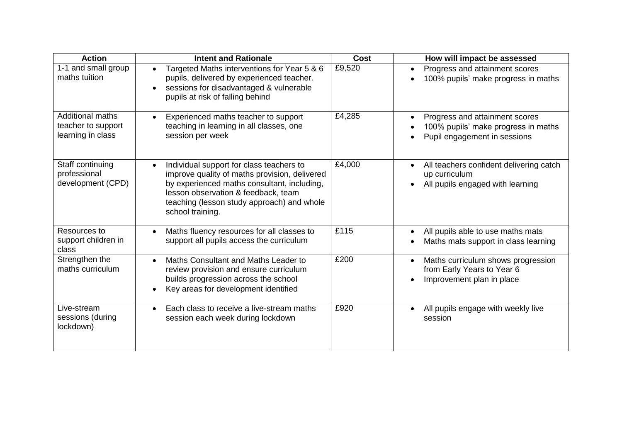| <b>Action</b>                                                      | <b>Intent and Rationale</b>                                                                                                                                                                                                                       | <b>Cost</b> | How will impact be assessed                                                                           |
|--------------------------------------------------------------------|---------------------------------------------------------------------------------------------------------------------------------------------------------------------------------------------------------------------------------------------------|-------------|-------------------------------------------------------------------------------------------------------|
| 1-1 and small group<br>maths tuition                               | Targeted Maths interventions for Year 5 & 6<br>pupils, delivered by experienced teacher.<br>sessions for disadvantaged & vulnerable<br>$\bullet$<br>pupils at risk of falling behind                                                              | £9,520      | Progress and attainment scores<br>100% pupils' make progress in maths                                 |
| <b>Additional maths</b><br>teacher to support<br>learning in class | Experienced maths teacher to support<br>teaching in learning in all classes, one<br>session per week                                                                                                                                              | £4,285      | Progress and attainment scores<br>100% pupils' make progress in maths<br>Pupil engagement in sessions |
| Staff continuing<br>professional<br>development (CPD)              | Individual support for class teachers to<br>improve quality of maths provision, delivered<br>by experienced maths consultant, including,<br>lesson observation & feedback, team<br>teaching (lesson study approach) and whole<br>school training. | £4,000      | All teachers confident delivering catch<br>up curriculum<br>All pupils engaged with learning          |
| Resources to<br>support children in<br>class                       | Maths fluency resources for all classes to<br>$\bullet$<br>support all pupils access the curriculum                                                                                                                                               | £115        | All pupils able to use maths mats<br>Maths mats support in class learning                             |
| Strengthen the<br>maths curriculum                                 | Maths Consultant and Maths Leader to<br>$\bullet$<br>review provision and ensure curriculum<br>builds progression across the school<br>Key areas for development identified                                                                       | £200        | Maths curriculum shows progression<br>from Early Years to Year 6<br>Improvement plan in place         |
| Live-stream<br>sessions (during<br>lockdown)                       | Each class to receive a live-stream maths<br>session each week during lockdown                                                                                                                                                                    | £920        | All pupils engage with weekly live<br>session                                                         |